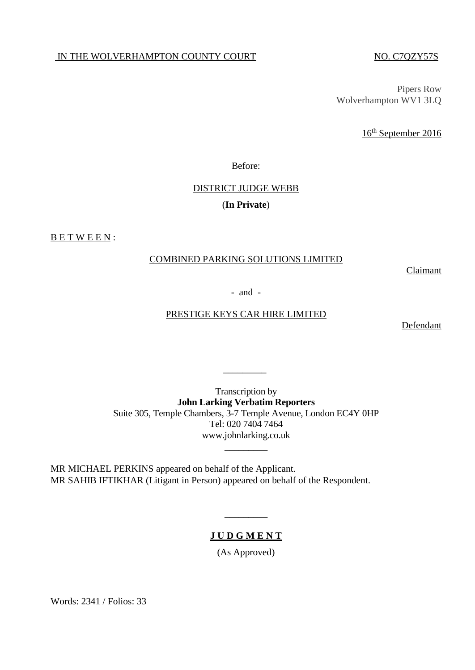#### IN THE WOLVERHAMPTON COUNTY COURT NO. C7QZY57S

Pipers Row Wolverhampton WV1 3LQ

16<sup>th</sup> September 2016

Before:

# DISTRICT JUDGE WEBB (**In Private**)

BETWEEN:

#### COMBINED PARKING SOLUTIONS LIMITED

Claimant

- and -

### PRESTIGE KEYS CAR HIRE LIMITED

Defendant

Transcription by **John Larking Verbatim Reporters** Suite 305, Temple Chambers, 3-7 Temple Avenue, London EC4Y 0HP Tel: 020 7404 7464 www.johnlarking.co.uk

 $\overline{\phantom{a}}$  ,  $\overline{\phantom{a}}$  ,  $\overline{\phantom{a}}$  ,  $\overline{\phantom{a}}$  ,  $\overline{\phantom{a}}$  ,  $\overline{\phantom{a}}$  ,  $\overline{\phantom{a}}$  ,  $\overline{\phantom{a}}$  ,  $\overline{\phantom{a}}$  ,  $\overline{\phantom{a}}$  ,  $\overline{\phantom{a}}$  ,  $\overline{\phantom{a}}$  ,  $\overline{\phantom{a}}$  ,  $\overline{\phantom{a}}$  ,  $\overline{\phantom{a}}$  ,  $\overline{\phantom{a}}$ 

\_\_\_\_\_\_\_\_\_

MR MICHAEL PERKINS appeared on behalf of the Applicant. MR SAHIB IFTIKHAR (Litigant in Person) appeared on behalf of the Respondent.

## **J U D G M E N T**

 $\overline{\phantom{a}}$ 

(As Approved)

Words: 2341 / Folios: 33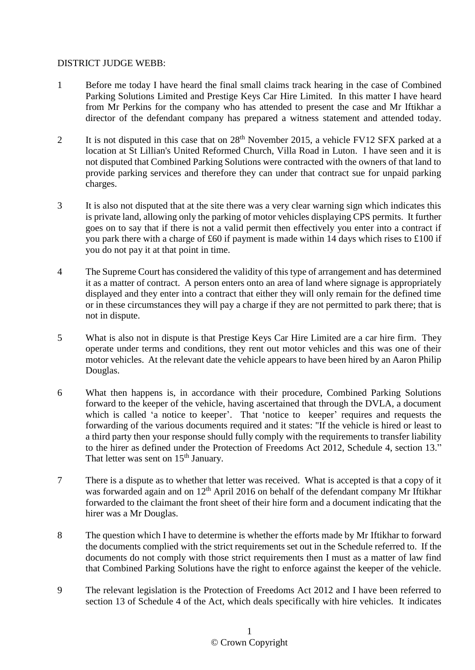#### DISTRICT JUDGE WEBB:

- 1 Before me today I have heard the final small claims track hearing in the case of Combined Parking Solutions Limited and Prestige Keys Car Hire Limited. In this matter I have heard from Mr Perkins for the company who has attended to present the case and Mr Iftikhar a director of the defendant company has prepared a witness statement and attended today.
- 2 It is not disputed in this case that on  $28<sup>th</sup>$  November 2015, a vehicle FV12 SFX parked at a location at St Lillian's United Reformed Church, Villa Road in Luton. I have seen and it is not disputed that Combined Parking Solutions were contracted with the owners of that land to provide parking services and therefore they can under that contract sue for unpaid parking charges.
- 3 It is also not disputed that at the site there was a very clear warning sign which indicates this is private land, allowing only the parking of motor vehicles displaying CPS permits. It further goes on to say that if there is not a valid permit then effectively you enter into a contract if you park there with a charge of £60 if payment is made within 14 days which rises to £100 if you do not pay it at that point in time.
- 4 The Supreme Court has considered the validity of this type of arrangement and has determined it as a matter of contract. A person enters onto an area of land where signage is appropriately displayed and they enter into a contract that either they will only remain for the defined time or in these circumstances they will pay a charge if they are not permitted to park there; that is not in dispute.
- 5 What is also not in dispute is that Prestige Keys Car Hire Limited are a car hire firm. They operate under terms and conditions, they rent out motor vehicles and this was one of their motor vehicles. At the relevant date the vehicle appears to have been hired by an Aaron Philip Douglas.
- 6 What then happens is, in accordance with their procedure, Combined Parking Solutions forward to the keeper of the vehicle, having ascertained that through the DVLA, a document which is called 'a notice to keeper'. That 'notice to keeper' requires and requests the forwarding of the various documents required and it states: "If the vehicle is hired or least to a third party then your response should fully comply with the requirements to transfer liability to the hirer as defined under the Protection of Freedoms Act 2012, Schedule 4, section 13." That letter was sent on  $15<sup>th</sup>$  January.
- 7 There is a dispute as to whether that letter was received. What is accepted is that a copy of it was forwarded again and on  $12<sup>th</sup>$  April 2016 on behalf of the defendant company Mr Iftikhar forwarded to the claimant the front sheet of their hire form and a document indicating that the hirer was a Mr Douglas.
- 8 The question which I have to determine is whether the efforts made by Mr Iftikhar to forward the documents complied with the strict requirements set out in the Schedule referred to. If the documents do not comply with those strict requirements then I must as a matter of law find that Combined Parking Solutions have the right to enforce against the keeper of the vehicle.
- 9 The relevant legislation is the Protection of Freedoms Act 2012 and I have been referred to section 13 of Schedule 4 of the Act, which deals specifically with hire vehicles. It indicates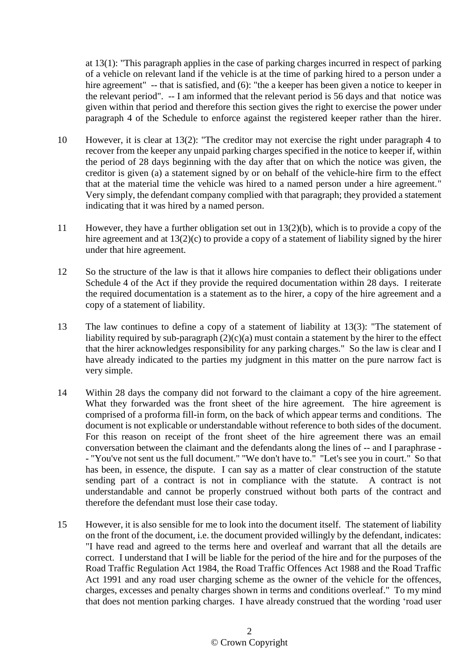at 13(1): "This paragraph applies in the case of parking charges incurred in respect of parking of a vehicle on relevant land if the vehicle is at the time of parking hired to a person under a hire agreement" -- that is satisfied, and (6): "the a keeper has been given a notice to keeper in the relevant period". -- I am informed that the relevant period is 56 days and that notice was given within that period and therefore this section gives the right to exercise the power under paragraph 4 of the Schedule to enforce against the registered keeper rather than the hirer.

- 10 However, it is clear at 13(2): "The creditor may not exercise the right under paragraph 4 to recover from the keeper any unpaid parking charges specified in the notice to keeper if, within the period of 28 days beginning with the day after that on which the notice was given, the creditor is given (a) a statement signed by or on behalf of the vehicle-hire firm to the effect that at the material time the vehicle was hired to a named person under a hire agreement." Very simply, the defendant company complied with that paragraph; they provided a statement indicating that it was hired by a named person.
- 11 However, they have a further obligation set out in 13(2)(b), which is to provide a copy of the hire agreement and at 13(2)(c) to provide a copy of a statement of liability signed by the hirer under that hire agreement.
- 12 So the structure of the law is that it allows hire companies to deflect their obligations under Schedule 4 of the Act if they provide the required documentation within 28 days. I reiterate the required documentation is a statement as to the hirer, a copy of the hire agreement and a copy of a statement of liability.
- 13 The law continues to define a copy of a statement of liability at 13(3): "The statement of liability required by sub-paragraph  $(2)(c)(a)$  must contain a statement by the hirer to the effect that the hirer acknowledges responsibility for any parking charges." So the law is clear and I have already indicated to the parties my judgment in this matter on the pure narrow fact is very simple.
- 14 Within 28 days the company did not forward to the claimant a copy of the hire agreement. What they forwarded was the front sheet of the hire agreement. The hire agreement is comprised of a proforma fill-in form, on the back of which appear terms and conditions. The document is not explicable or understandable without reference to both sides of the document. For this reason on receipt of the front sheet of the hire agreement there was an email conversation between the claimant and the defendants along the lines of -- and I paraphrase - - "You've not sent us the full document." "We don't have to." "Let's see you in court." So that has been, in essence, the dispute. I can say as a matter of clear construction of the statute sending part of a contract is not in compliance with the statute. A contract is not understandable and cannot be properly construed without both parts of the contract and therefore the defendant must lose their case today.
- 15 However, it is also sensible for me to look into the document itself. The statement of liability on the front of the document, i.e. the document provided willingly by the defendant, indicates: "I have read and agreed to the terms here and overleaf and warrant that all the details are correct. I understand that I will be liable for the period of the hire and for the purposes of the Road Traffic Regulation Act 1984, the Road Traffic Offences Act 1988 and the Road Traffic Act 1991 and any road user charging scheme as the owner of the vehicle for the offences, charges, excesses and penalty charges shown in terms and conditions overleaf." To my mind that does not mention parking charges. I have already construed that the wording 'road user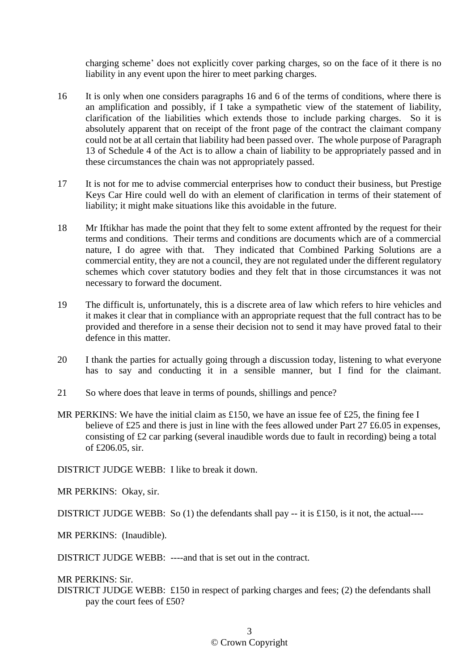charging scheme' does not explicitly cover parking charges, so on the face of it there is no liability in any event upon the hirer to meet parking charges.

- 16 It is only when one considers paragraphs 16 and 6 of the terms of conditions, where there is an amplification and possibly, if I take a sympathetic view of the statement of liability, clarification of the liabilities which extends those to include parking charges. So it is absolutely apparent that on receipt of the front page of the contract the claimant company could not be at all certain that liability had been passed over. The whole purpose of Paragraph 13 of Schedule 4 of the Act is to allow a chain of liability to be appropriately passed and in these circumstances the chain was not appropriately passed.
- 17 It is not for me to advise commercial enterprises how to conduct their business, but Prestige Keys Car Hire could well do with an element of clarification in terms of their statement of liability; it might make situations like this avoidable in the future.
- 18 Mr Iftikhar has made the point that they felt to some extent affronted by the request for their terms and conditions. Their terms and conditions are documents which are of a commercial nature, I do agree with that. They indicated that Combined Parking Solutions are a commercial entity, they are not a council, they are not regulated under the different regulatory schemes which cover statutory bodies and they felt that in those circumstances it was not necessary to forward the document.
- 19 The difficult is, unfortunately, this is a discrete area of law which refers to hire vehicles and it makes it clear that in compliance with an appropriate request that the full contract has to be provided and therefore in a sense their decision not to send it may have proved fatal to their defence in this matter.
- 20 I thank the parties for actually going through a discussion today, listening to what everyone has to say and conducting it in a sensible manner, but I find for the claimant.
- 21 So where does that leave in terms of pounds, shillings and pence?
- MR PERKINS: We have the initial claim as £150, we have an issue fee of £25, the fining fee I believe of £25 and there is just in line with the fees allowed under Part 27 £6.05 in expenses, consisting of £2 car parking (several inaudible words due to fault in recording) being a total of £206.05, sir.

DISTRICT JUDGE WEBB: I like to break it down.

MR PERKINS: Okay, sir.

DISTRICT JUDGE WEBB: So (1) the defendants shall pay  $-$  it is £150, is it not, the actual----

MR PERKINS: (Inaudible).

DISTRICT JUDGE WEBB: ----and that is set out in the contract.

MR PERKINS: Sir.

DISTRICT JUDGE WEBB: £150 in respect of parking charges and fees; (2) the defendants shall pay the court fees of £50?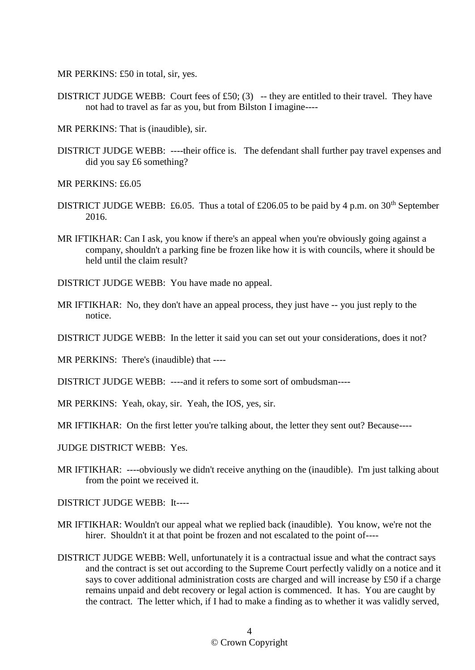MR PERKINS: £50 in total, sir, yes.

- DISTRICT JUDGE WEBB: Court fees of £50; (3) -- they are entitled to their travel. They have not had to travel as far as you, but from Bilston I imagine----
- MR PERKINS: That is (inaudible), sir.
- DISTRICT JUDGE WEBB: ----their office is. The defendant shall further pay travel expenses and did you say £6 something?

MR PERKINS: £6.05

- DISTRICT JUDGE WEBB: £6.05. Thus a total of £206.05 to be paid by 4 p.m. on  $30<sup>th</sup>$  September 2016.
- MR IFTIKHAR: Can I ask, you know if there's an appeal when you're obviously going against a company, shouldn't a parking fine be frozen like how it is with councils, where it should be held until the claim result?
- DISTRICT JUDGE WEBB: You have made no appeal.
- MR IFTIKHAR: No, they don't have an appeal process, they just have -- you just reply to the notice.
- DISTRICT JUDGE WEBB: In the letter it said you can set out your considerations, does it not?
- MR PERKINS: There's (inaudible) that ----
- DISTRICT JUDGE WEBB: ----and it refers to some sort of ombudsman----
- MR PERKINS: Yeah, okay, sir. Yeah, the IOS, yes, sir.
- MR IFTIKHAR: On the first letter you're talking about, the letter they sent out? Because----
- JUDGE DISTRICT WEBB: Yes.
- MR IFTIKHAR: ----obviously we didn't receive anything on the (inaudible). I'm just talking about from the point we received it.

DISTRICT JUDGE WEBB: It----

- MR IFTIKHAR: Wouldn't our appeal what we replied back (inaudible). You know, we're not the hirer. Shouldn't it at that point be frozen and not escalated to the point of----
- DISTRICT JUDGE WEBB: Well, unfortunately it is a contractual issue and what the contract says and the contract is set out according to the Supreme Court perfectly validly on a notice and it says to cover additional administration costs are charged and will increase by £50 if a charge remains unpaid and debt recovery or legal action is commenced. It has. You are caught by the contract. The letter which, if I had to make a finding as to whether it was validly served,